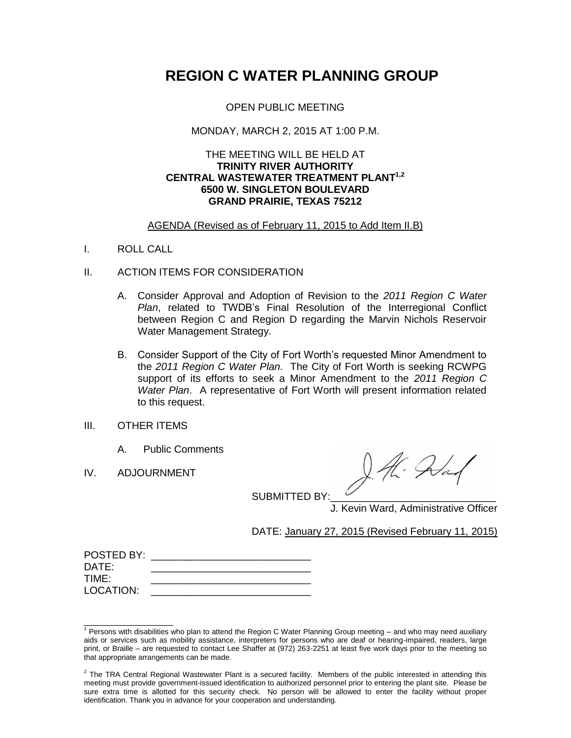# **REGION C WATER PLANNING GROUP**

OPEN PUBLIC MEETING

## MONDAY, MARCH 2, 2015 AT 1:00 P.M.

## THE MEETING WILL BE HELD AT **TRINITY RIVER AUTHORITY CENTRAL WASTEWATER TREATMENT PLANT 1,2 6500 W. SINGLETON BOULEVARD GRAND PRAIRIE, TEXAS 75212**

# AGENDA (Revised as of February 11, 2015 to Add Item II.B)

I. ROLL CALL

## II. ACTION ITEMS FOR CONSIDERATION

- A. Consider Approval and Adoption of Revision to the *2011 Region C Water Plan*, related to TWDB's Final Resolution of the Interregional Conflict between Region C and Region D regarding the Marvin Nichols Reservoir Water Management Strategy.
- B. Consider Support of the City of Fort Worth's requested Minor Amendment to the *2011 Region C Water Plan.* The City of Fort Worth is seeking RCWPG support of its efforts to seek a Minor Amendment to the *2011 Region C Water Plan*. A representative of Fort Worth will present information related to this request.
- III. OTHER ITEMS
	- A. Public Comments
- IV. ADJOURNMENT

\_\_\_\_\_\_\_\_\_\_\_\_\_\_\_\_

A. Alan

SUBMITTED BY:

J. Kevin Ward, Administrative Officer

DATE: January 27, 2015 (Revised February 11, 2015)

| POSTED BY: |  |
|------------|--|
| DATE:      |  |
| TIME:      |  |
| LOCATION:  |  |
|            |  |

 $1$  Persons with disabilities who plan to attend the Region C Water Planning Group meeting  $-$  and who may need auxiliary aids or services such as mobility assistance, interpreters for persons who are deaf or hearing-impaired, readers, large print, or Braille – are requested to contact Lee Shaffer at (972) 263-2251 at least five work days prior to the meeting so that appropriate arrangements can be made.

 $2$  The TRA Central Regional Wastewater Plant is a secured facility. Members of the public interested in attending this meeting must provide government-issued identification to authorized personnel prior to entering the plant site. Please be sure extra time is allotted for this security check. No person will be allowed to enter the facility without proper identification. Thank you in advance for your cooperation and understanding.